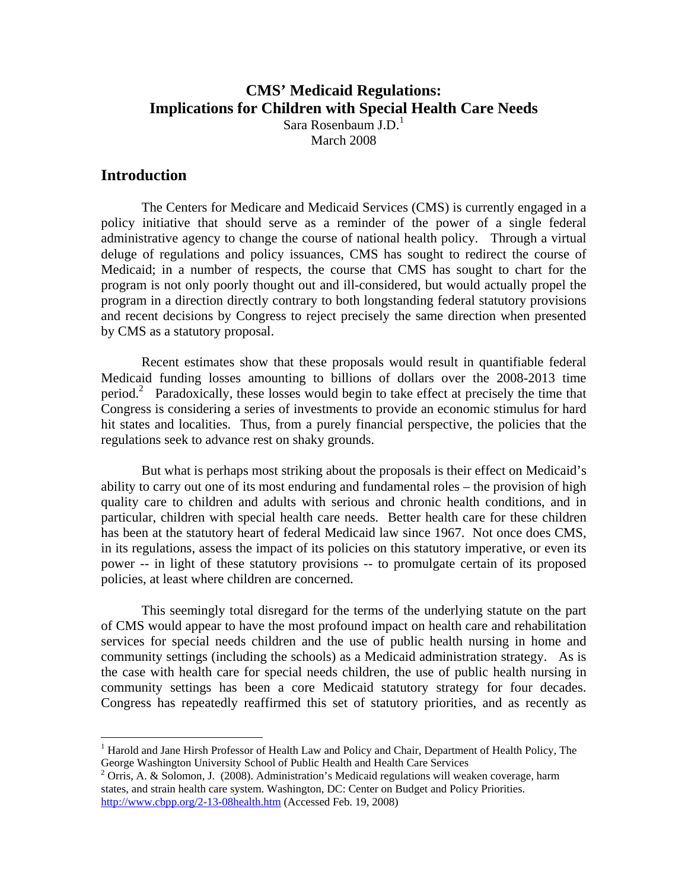# **CMS' Medicaid Regulations: Implications for Children with Special Health Care Needs**  Sara Rosenbaum  $J.D.<sup>1</sup>$

March 2008

## **Introduction**

1

 The Centers for Medicare and Medicaid Services (CMS) is currently engaged in a policy initiative that should serve as a reminder of the power of a single federal administrative agency to change the course of national health policy. Through a virtual deluge of regulations and policy issuances, CMS has sought to redirect the course of Medicaid; in a number of respects, the course that CMS has sought to chart for the program is not only poorly thought out and ill-considered, but would actually propel the program in a direction directly contrary to both longstanding federal statutory provisions and recent decisions by Congress to reject precisely the same direction when presented by CMS as a statutory proposal.

Recent estimates show that these proposals would result in quantifiable federal Medicaid funding losses amounting to billions of dollars over the 2008-2013 time period.<sup>2</sup> Paradoxically, these losses would begin to take effect at precisely the time that Congress is considering a series of investments to provide an economic stimulus for hard hit states and localities. Thus, from a purely financial perspective, the policies that the regulations seek to advance rest on shaky grounds.

But what is perhaps most striking about the proposals is their effect on Medicaid's ability to carry out one of its most enduring and fundamental roles – the provision of high quality care to children and adults with serious and chronic health conditions, and in particular, children with special health care needs. Better health care for these children has been at the statutory heart of federal Medicaid law since 1967. Not once does CMS, in its regulations, assess the impact of its policies on this statutory imperative, or even its power -- in light of these statutory provisions -- to promulgate certain of its proposed policies, at least where children are concerned.

This seemingly total disregard for the terms of the underlying statute on the part of CMS would appear to have the most profound impact on health care and rehabilitation services for special needs children and the use of public health nursing in home and community settings (including the schools) as a Medicaid administration strategy. As is the case with health care for special needs children, the use of public health nursing in community settings has been a core Medicaid statutory strategy for four decades. Congress has repeatedly reaffirmed this set of statutory priorities, and as recently as

<sup>&</sup>lt;sup>1</sup> Harold and Jane Hirsh Professor of Health Law and Policy and Chair, Department of Health Policy, The George Washington University School of Public Health and Health Care Services

 $2$  Orris, A. & Solomon, J. (2008). Administration's Medicaid regulations will weaken coverage, harm states, and strain health care system. Washington, DC: Center on Budget and Policy Priorities. http://www.cbpp.org/2-13-08health.htm (Accessed Feb. 19, 2008)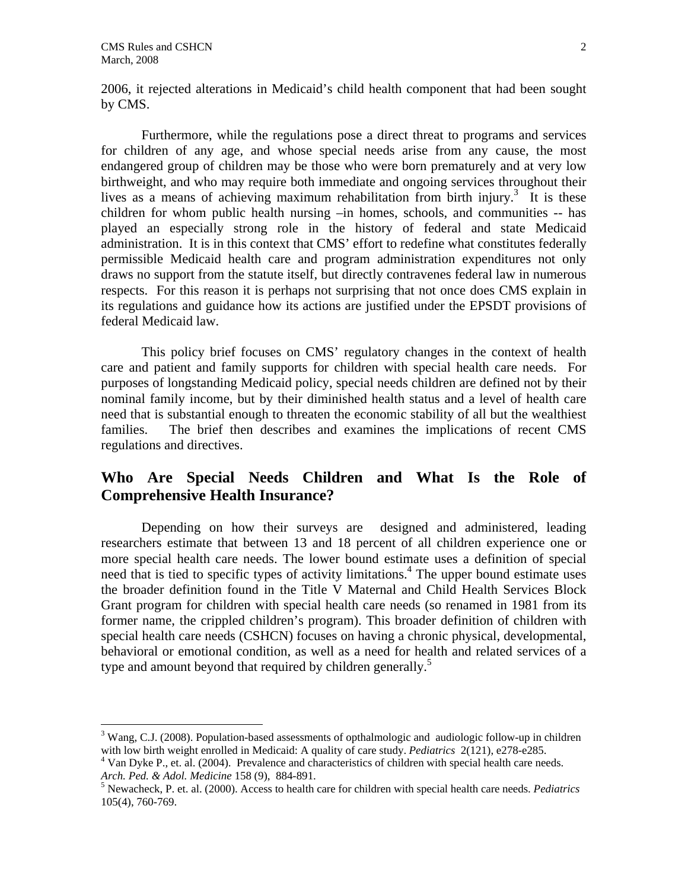$\overline{a}$ 

2006, it rejected alterations in Medicaid's child health component that had been sought by CMS.

Furthermore, while the regulations pose a direct threat to programs and services for children of any age, and whose special needs arise from any cause, the most endangered group of children may be those who were born prematurely and at very low birthweight, and who may require both immediate and ongoing services throughout their lives as a means of achieving maximum rehabilitation from birth injury.<sup>3</sup> It is these children for whom public health nursing –in homes, schools, and communities -- has played an especially strong role in the history of federal and state Medicaid administration. It is in this context that CMS' effort to redefine what constitutes federally permissible Medicaid health care and program administration expenditures not only draws no support from the statute itself, but directly contravenes federal law in numerous respects. For this reason it is perhaps not surprising that not once does CMS explain in its regulations and guidance how its actions are justified under the EPSDT provisions of federal Medicaid law.

This policy brief focuses on CMS' regulatory changes in the context of health care and patient and family supports for children with special health care needs. For purposes of longstanding Medicaid policy, special needs children are defined not by their nominal family income, but by their diminished health status and a level of health care need that is substantial enough to threaten the economic stability of all but the wealthiest families. The brief then describes and examines the implications of recent CMS regulations and directives.

# **Who Are Special Needs Children and What Is the Role of Comprehensive Health Insurance?**

Depending on how their surveys are designed and administered, leading researchers estimate that between 13 and 18 percent of all children experience one or more special health care needs. The lower bound estimate uses a definition of special need that is tied to specific types of activity limitations.<sup>4</sup> The upper bound estimate uses the broader definition found in the Title V Maternal and Child Health Services Block Grant program for children with special health care needs (so renamed in 1981 from its former name, the crippled children's program). This broader definition of children with special health care needs (CSHCN) focuses on having a chronic physical, developmental, behavioral or emotional condition, as well as a need for health and related services of a type and amount beyond that required by children generally.<sup>5</sup>

 $3$  Wang, C.J. (2008). Population-based assessments of opthalmologic and audiologic follow-up in children with low birth weight enrolled in Medicaid: A quality of care study. *Pediatrics* 2(121), e278-e285. 4

<sup>&</sup>lt;sup>4</sup> Van Dyke P., et. al. (2004). Prevalence and characteristics of children with special health care needs. *Arch. Ped. & Adol. Medicine* 158 (9), 884-891.

Newacheck, P. et. al. (2000). Access to health care for children with special health care needs. *Pediatrics*  105(4), 760-769.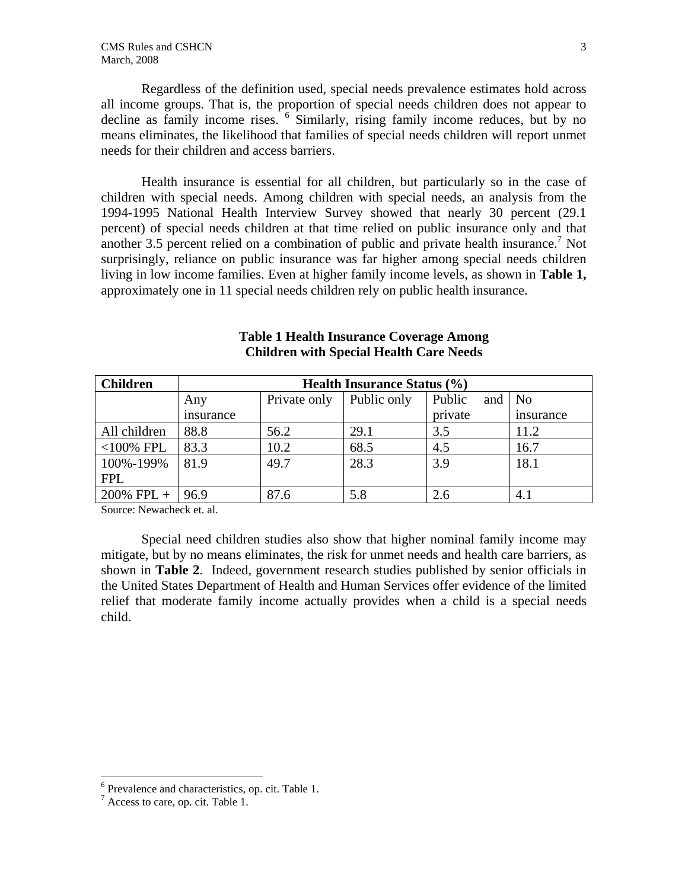Regardless of the definition used, special needs prevalence estimates hold across all income groups. That is, the proportion of special needs children does not appear to decline as family income rises. <sup>6</sup> Similarly, rising family income reduces, but by no means eliminates, the likelihood that families of special needs children will report unmet needs for their children and access barriers.

Health insurance is essential for all children, but particularly so in the case of children with special needs. Among children with special needs, an analysis from the 1994-1995 National Health Interview Survey showed that nearly 30 percent (29.1 percent) of special needs children at that time relied on public insurance only and that another 3.5 percent relied on a combination of public and private health insurance.<sup>7</sup> Not surprisingly, reliance on public insurance was far higher among special needs children living in low income families. Even at higher family income levels, as shown in **Table 1,**  approximately one in 11 special needs children rely on public health insurance.

| <b>Children</b> | <b>Health Insurance Status (%)</b> |              |             |               |           |
|-----------------|------------------------------------|--------------|-------------|---------------|-----------|
|                 | Any                                | Private only | Public only | Public<br>and | No        |
|                 | insurance                          |              |             | private       | insurance |
| All children    | 88.8                               | 56.2         | 29.1        | 3.5           | 11.2      |
| $<$ 100% FPL    | 83.3                               | 10.2         | 68.5        | 4.5           | 16.7      |
| 100%-199%       | 81.9                               | 49.7         | 28.3        | 3.9           | 18.1      |
| <b>FPL</b>      |                                    |              |             |               |           |
| $200\%$ FPL +   | 96.9                               | 87.6         | 5.8         | 2.6           | 4.1       |

### **Table 1 Health Insurance Coverage Among Children with Special Health Care Needs**

Source: Newacheck et. al.

Special need children studies also show that higher nominal family income may mitigate, but by no means eliminates, the risk for unmet needs and health care barriers, as shown in **Table 2**. Indeed, government research studies published by senior officials in the United States Department of Health and Human Services offer evidence of the limited relief that moderate family income actually provides when a child is a special needs child.

 6 Prevalence and characteristics, op. cit. Table 1.

 $^7$  Access to care, op. cit. Table 1.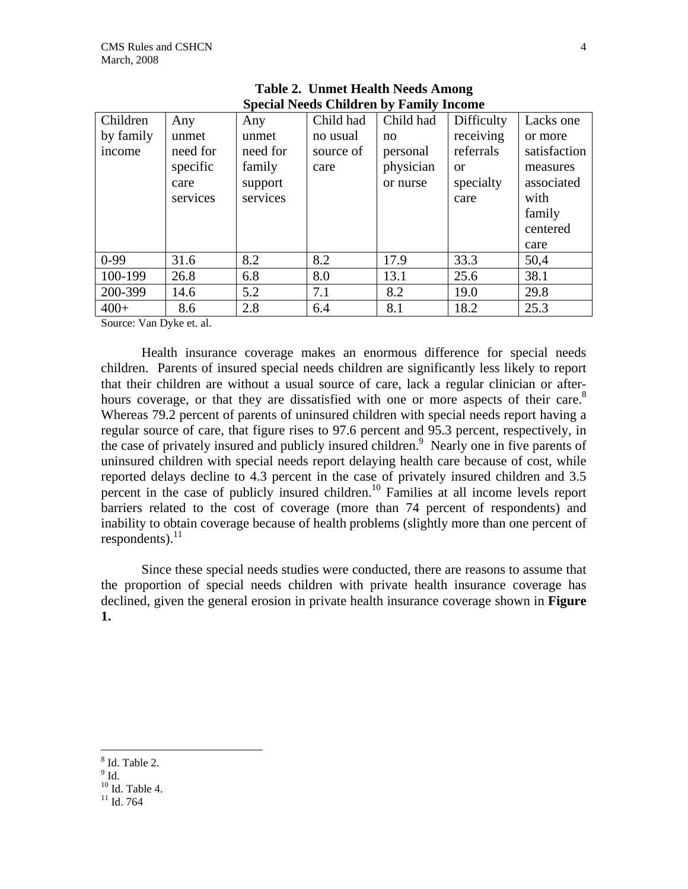| Children  | Any      | Any      | Child had | Child had | Difficulty | Lacks one    |
|-----------|----------|----------|-----------|-----------|------------|--------------|
| by family | unmet    | unmet    | no usual  | no        | receiving  | or more      |
| income    | need for | need for | source of | personal  | referrals  | satisfaction |
|           | specific | family   | care      | physician | <b>or</b>  | measures     |
|           | care     | support  |           | or nurse  | specialty  | associated   |
|           | services | services |           |           | care       | with         |
|           |          |          |           |           |            | family       |
|           |          |          |           |           |            | centered     |
|           |          |          |           |           |            | care         |
| $0-99$    | 31.6     | 8.2      | 8.2       | 17.9      | 33.3       | 50,4         |
| 100-199   | 26.8     | 6.8      | 8.0       | 13.1      | 25.6       | 38.1         |
| 200-399   | 14.6     | 5.2      | 7.1       | 8.2       | 19.0       | 29.8         |
| $400+$    | 8.6      | 2.8      | 6.4       | 8.1       | 18.2       | 25.3         |

| <b>Table 2. Unmet Health Needs Among</b>       |  |
|------------------------------------------------|--|
| <b>Special Needs Children by Family Income</b> |  |

Source: Van Dyke et. al.

Health insurance coverage makes an enormous difference for special needs children. Parents of insured special needs children are significantly less likely to report that their children are without a usual source of care, lack a regular clinician or afterhours coverage, or that they are dissatisfied with one or more aspects of their care.<sup>8</sup> Whereas 79.2 percent of parents of uninsured children with special needs report having a regular source of care, that figure rises to 97.6 percent and 95.3 percent, respectively, in the case of privately insured and publicly insured children.<sup>9</sup> Nearly one in five parents of uninsured children with special needs report delaying health care because of cost, while reported delays decline to 4.3 percent in the case of privately insured children and 3.5 percent in the case of publicly insured children.<sup>10</sup> Families at all income levels report barriers related to the cost of coverage (more than 74 percent of respondents) and inability to obtain coverage because of health problems (slightly more than one percent of respondents). $^{11}$ 

Since these special needs studies were conducted, there are reasons to assume that the proportion of special needs children with private health insurance coverage has declined, given the general erosion in private health insurance coverage shown in **Figure 1.** 

<u>.</u>

<sup>8</sup> Id. Table 2.

 $^9$  Id.

 $10$  Id. Table 4.

 $11$  Id. 764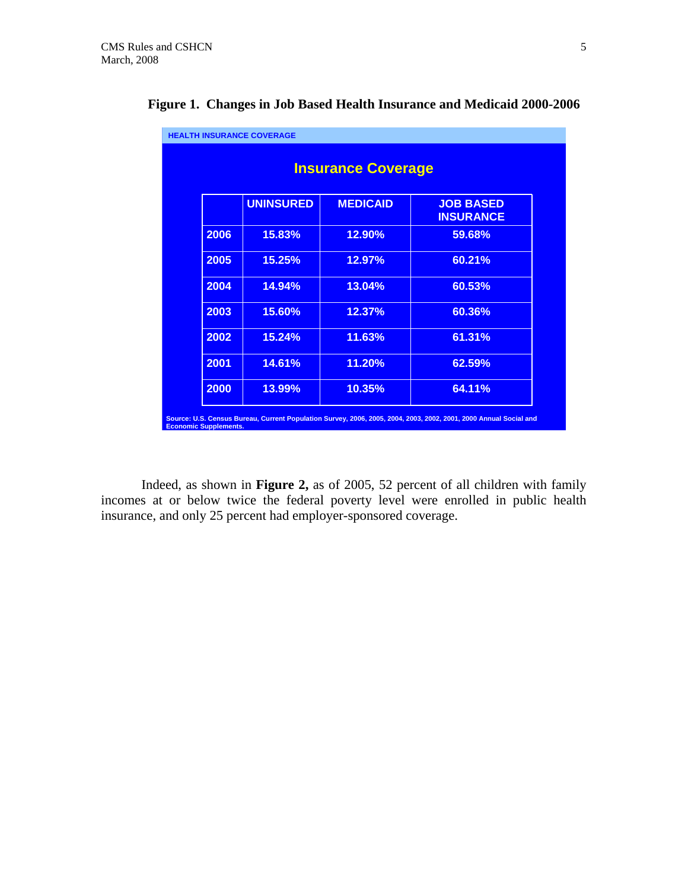| <b>Insurance Coverage</b> |                  |                 |                                      |  |
|---------------------------|------------------|-----------------|--------------------------------------|--|
|                           | <b>UNINSURED</b> | <b>MEDICAID</b> | <b>JOB BASED</b><br><b>INSURANCE</b> |  |
| 2006                      | 15.83%           | 12.90%          | 59.68%                               |  |
| 2005                      | 15.25%           | 12.97%          | 60.21%                               |  |
| 2004                      | 14.94%           | 13.04%          | 60.53%                               |  |
| 2003                      | 15.60%           | 12.37%          | 60.36%                               |  |
| 2002                      | 15.24%           | 11.63%          | 61.31%                               |  |
| 2001                      | 14.61%           | 11.20%          | 62.59%                               |  |
| 2000                      | 13.99%           | 10.35%          | 64.11%                               |  |

# **Figure 1. Changes in Job Based Health Insurance and Medicaid 2000-2006**

Indeed, as shown in **Figure 2,** as of 2005, 52 percent of all children with family incomes at or below twice the federal poverty level were enrolled in public health insurance, and only 25 percent had employer-sponsored coverage.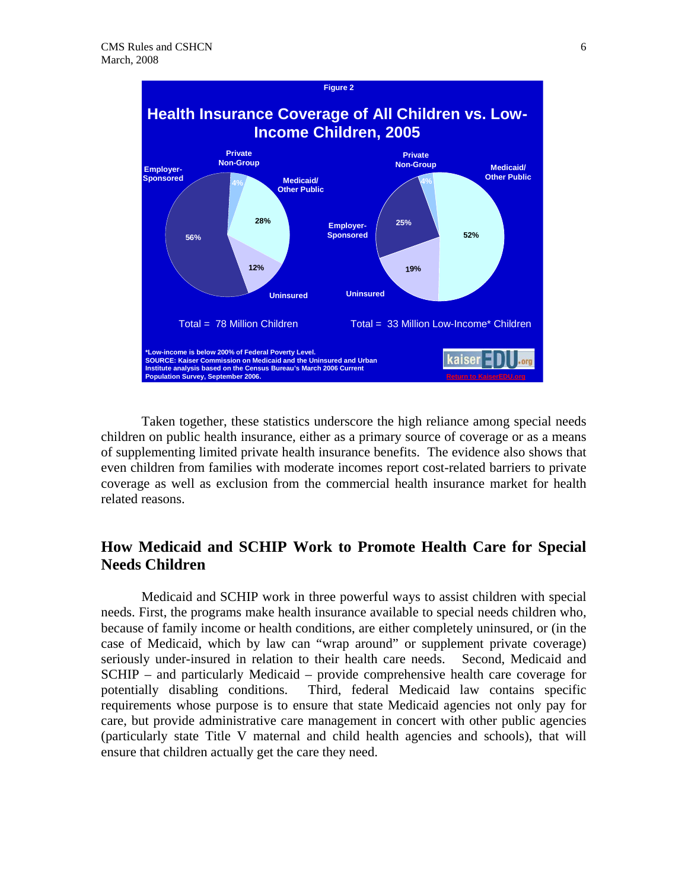

Taken together, these statistics underscore the high reliance among special needs children on public health insurance, either as a primary source of coverage or as a means of supplementing limited private health insurance benefits. The evidence also shows that even children from families with moderate incomes report cost-related barriers to private coverage as well as exclusion from the commercial health insurance market for health related reasons.

# **How Medicaid and SCHIP Work to Promote Health Care for Special Needs Children**

 Medicaid and SCHIP work in three powerful ways to assist children with special needs. First, the programs make health insurance available to special needs children who, because of family income or health conditions, are either completely uninsured, or (in the case of Medicaid, which by law can "wrap around" or supplement private coverage) seriously under-insured in relation to their health care needs. Second, Medicaid and SCHIP – and particularly Medicaid – provide comprehensive health care coverage for potentially disabling conditions. Third, federal Medicaid law contains specific requirements whose purpose is to ensure that state Medicaid agencies not only pay for care, but provide administrative care management in concert with other public agencies (particularly state Title V maternal and child health agencies and schools), that will ensure that children actually get the care they need.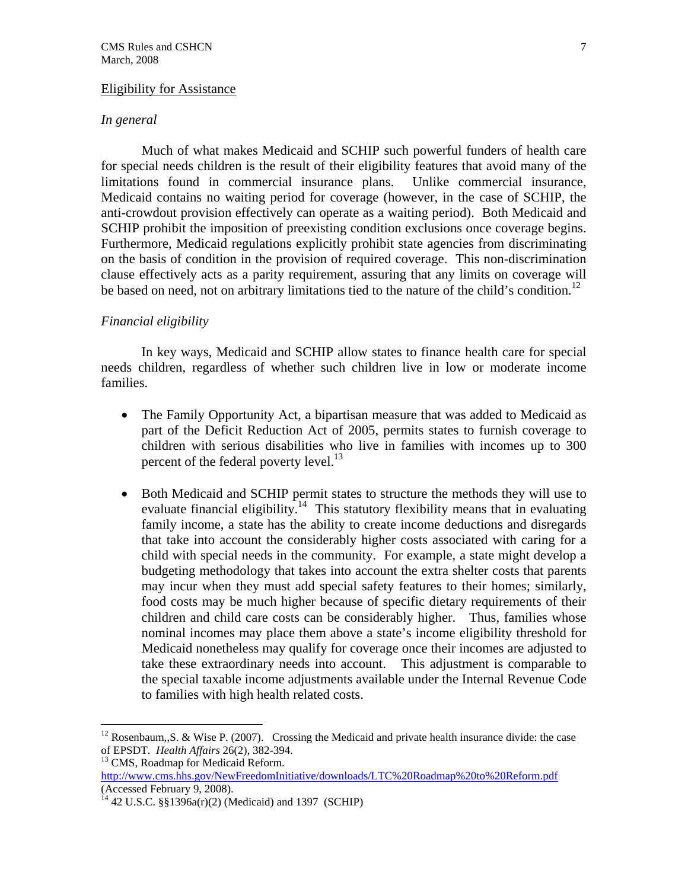#### Eligibility for Assistance

#### *In general*

Much of what makes Medicaid and SCHIP such powerful funders of health care for special needs children is the result of their eligibility features that avoid many of the limitations found in commercial insurance plans. Unlike commercial insurance, Medicaid contains no waiting period for coverage (however, in the case of SCHIP, the anti-crowdout provision effectively can operate as a waiting period). Both Medicaid and SCHIP prohibit the imposition of preexisting condition exclusions once coverage begins. Furthermore, Medicaid regulations explicitly prohibit state agencies from discriminating on the basis of condition in the provision of required coverage. This non-discrimination clause effectively acts as a parity requirement, assuring that any limits on coverage will be based on need, not on arbitrary limitations tied to the nature of the child's condition.<sup>12</sup>

#### *Financial eligibility*

 In key ways, Medicaid and SCHIP allow states to finance health care for special needs children, regardless of whether such children live in low or moderate income families.

- The Family Opportunity Act, a bipartisan measure that was added to Medicaid as part of the Deficit Reduction Act of 2005, permits states to furnish coverage to children with serious disabilities who live in families with incomes up to 300 percent of the federal poverty level.<sup>13</sup>
- Both Medicaid and SCHIP permit states to structure the methods they will use to evaluate financial eligibility.<sup>14</sup> This statutory flexibility means that in evaluating family income, a state has the ability to create income deductions and disregards that take into account the considerably higher costs associated with caring for a child with special needs in the community. For example, a state might develop a budgeting methodology that takes into account the extra shelter costs that parents may incur when they must add special safety features to their homes; similarly, food costs may be much higher because of specific dietary requirements of their children and child care costs can be considerably higher. Thus, families whose nominal incomes may place them above a state's income eligibility threshold for Medicaid nonetheless may qualify for coverage once their incomes are adjusted to take these extraordinary needs into account. This adjustment is comparable to the special taxable income adjustments available under the Internal Revenue Code to families with high health related costs.

1

<sup>&</sup>lt;sup>12</sup> Rosenbaum,,S. & Wise P. (2007). Crossing the Medicaid and private health insurance divide: the case of EPSDT. *Health Affairs* 26(2), 382-394.

<sup>&</sup>lt;sup>13</sup> CMS, Roadmap for Medicaid Reform.

http://www.cms.hhs.gov/NewFreedomInitiative/downloads/LTC%20Roadmap%20to%20Reform.pdf (Accessed February 9, 2008).

 $^{14}$  42 U.S.C. §§1396a(r)(2) (Medicaid) and 1397 (SCHIP)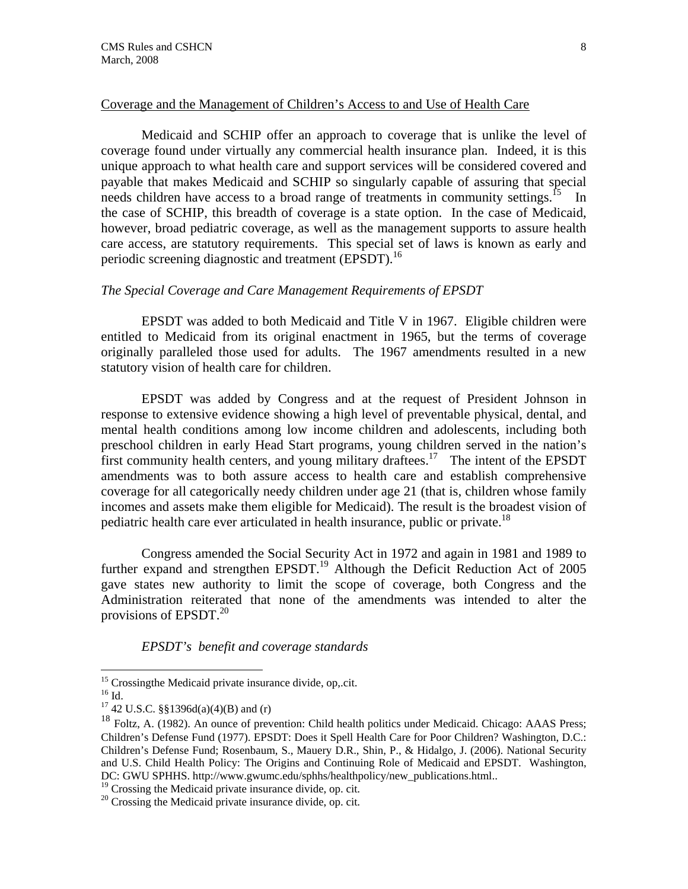#### Coverage and the Management of Children's Access to and Use of Health Care

 Medicaid and SCHIP offer an approach to coverage that is unlike the level of coverage found under virtually any commercial health insurance plan. Indeed, it is this unique approach to what health care and support services will be considered covered and payable that makes Medicaid and SCHIP so singularly capable of assuring that special needs children have access to a broad range of treatments in community settings.<sup>15</sup> In the case of SCHIP, this breadth of coverage is a state option. In the case of Medicaid, however, broad pediatric coverage, as well as the management supports to assure health care access, are statutory requirements. This special set of laws is known as early and periodic screening diagnostic and treatment (EPSDT).<sup>16</sup>

#### *The Special Coverage and Care Management Requirements of EPSDT*

EPSDT was added to both Medicaid and Title V in 1967. Eligible children were entitled to Medicaid from its original enactment in 1965, but the terms of coverage originally paralleled those used for adults. The 1967 amendments resulted in a new statutory vision of health care for children.

EPSDT was added by Congress and at the request of President Johnson in response to extensive evidence showing a high level of preventable physical, dental, and mental health conditions among low income children and adolescents, including both preschool children in early Head Start programs, young children served in the nation's first community health centers, and young military draftees.<sup>17</sup> The intent of the EPSDT amendments was to both assure access to health care and establish comprehensive coverage for all categorically needy children under age 21 (that is, children whose family incomes and assets make them eligible for Medicaid). The result is the broadest vision of pediatric health care ever articulated in health insurance, public or private.<sup>18</sup>

Congress amended the Social Security Act in 1972 and again in 1981 and 1989 to further expand and strengthen EPSDT.<sup>19</sup> Although the Deficit Reduction Act of 2005 gave states new authority to limit the scope of coverage, both Congress and the Administration reiterated that none of the amendments was intended to alter the provisions of EPSDT. $^{20}$ 

*EPSDT's benefit and coverage standards* 

<u>.</u>

 $19$  Crossing the Medicaid private insurance divide, op. cit.

 $15$  Crossingthe Medicaid private insurance divide, op, cit.

 $^{16}$  Id.

<sup>&</sup>lt;sup>17</sup> 42 U.S.C. §§1396d(a)(4)(B) and (r)

<sup>&</sup>lt;sup>18</sup> Foltz. A. (1982). An ounce of prevention: Child health politics under Medicaid. Chicago: AAAS Press; Children's Defense Fund (1977). EPSDT: Does it Spell Health Care for Poor Children? Washington, D.C.: Children's Defense Fund; Rosenbaum, S., Mauery D.R., Shin, P., & Hidalgo, J. (2006). National Security and U.S. Child Health Policy: The Origins and Continuing Role of Medicaid and EPSDT. Washington, DC: GWU SPHHS. http://www.gwumc.edu/sphhs/healthpolicy/new\_publications.html..

 $20$  Crossing the Medicaid private insurance divide, op. cit.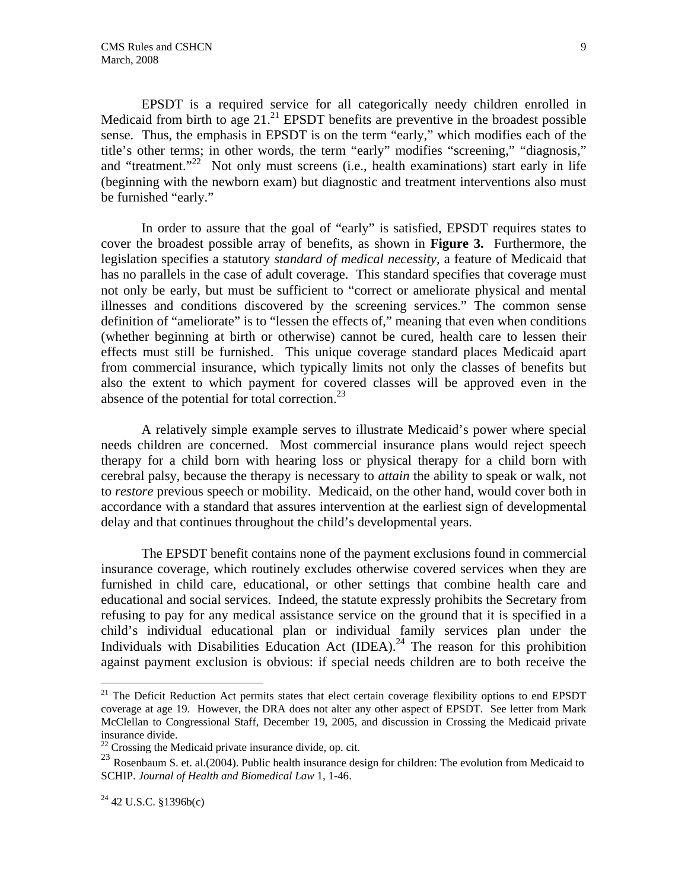EPSDT is a required service for all categorically needy children enrolled in Medicaid from birth to age  $21<sup>21</sup>$  EPSDT benefits are preventive in the broadest possible sense. Thus, the emphasis in EPSDT is on the term "early," which modifies each of the title's other terms; in other words, the term "early" modifies "screening," "diagnosis," and "treatment."<sup>22</sup> Not only must screens (i.e., health examinations) start early in life (beginning with the newborn exam) but diagnostic and treatment interventions also must be furnished "early."

In order to assure that the goal of "early" is satisfied, EPSDT requires states to cover the broadest possible array of benefits, as shown in **Figure 3.** Furthermore, the legislation specifies a statutory *standard of medical necessity,* a feature of Medicaid that has no parallels in the case of adult coverage. This standard specifies that coverage must not only be early, but must be sufficient to "correct or ameliorate physical and mental illnesses and conditions discovered by the screening services." The common sense definition of "ameliorate" is to "lessen the effects of," meaning that even when conditions (whether beginning at birth or otherwise) cannot be cured, health care to lessen their effects must still be furnished. This unique coverage standard places Medicaid apart from commercial insurance, which typically limits not only the classes of benefits but also the extent to which payment for covered classes will be approved even in the absence of the potential for total correction.<sup>23</sup>

A relatively simple example serves to illustrate Medicaid's power where special needs children are concerned. Most commercial insurance plans would reject speech therapy for a child born with hearing loss or physical therapy for a child born with cerebral palsy, because the therapy is necessary to *attain* the ability to speak or walk, not to *restore* previous speech or mobility. Medicaid, on the other hand, would cover both in accordance with a standard that assures intervention at the earliest sign of developmental delay and that continues throughout the child's developmental years.

 The EPSDT benefit contains none of the payment exclusions found in commercial insurance coverage, which routinely excludes otherwise covered services when they are furnished in child care, educational, or other settings that combine health care and educational and social services. Indeed, the statute expressly prohibits the Secretary from refusing to pay for any medical assistance service on the ground that it is specified in a child's individual educational plan or individual family services plan under the Individuals with Disabilities Education Act (IDEA).<sup>24</sup> The reason for this prohibition against payment exclusion is obvious: if special needs children are to both receive the

1

 $21$  The Deficit Reduction Act permits states that elect certain coverage flexibility options to end EPSDT coverage at age 19. However, the DRA does not alter any other aspect of EPSDT. See letter from Mark McClellan to Congressional Staff, December 19, 2005, and discussion in Crossing the Medicaid private insurance divide.

<sup>&</sup>lt;sup>22</sup> Crossing the Medicaid private insurance divide, op. cit.

<sup>&</sup>lt;sup>23</sup> Rosenbaum S. et. al.(2004). Public health insurance design for children: The evolution from Medicaid to SCHIP. *Journal of Health and Biomedical Law* 1, 1-46.

 $^{24}$  42 U.S.C. §1396b(c)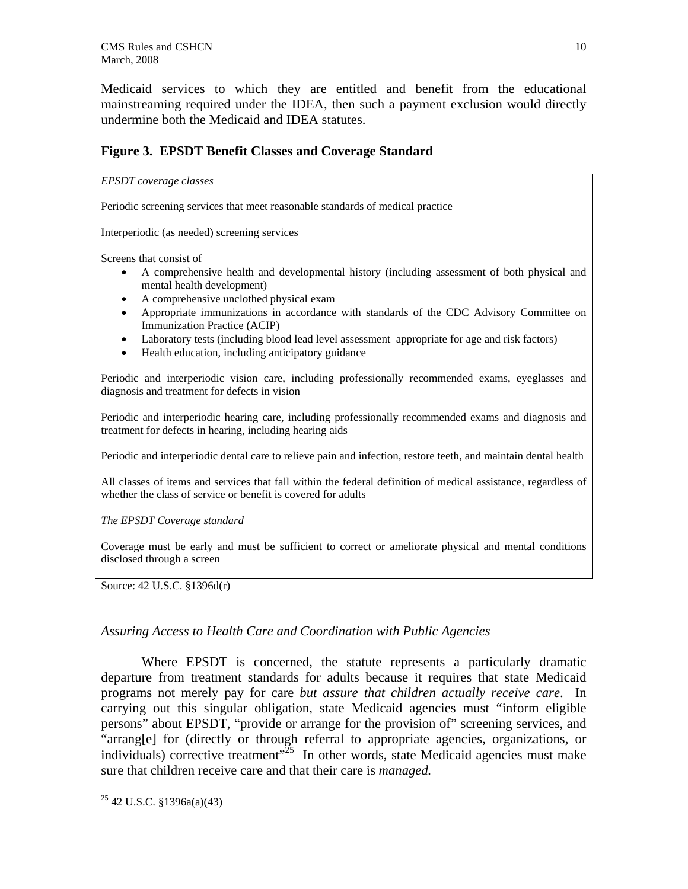Medicaid services to which they are entitled and benefit from the educational mainstreaming required under the IDEA, then such a payment exclusion would directly undermine both the Medicaid and IDEA statutes.

# **Figure 3. EPSDT Benefit Classes and Coverage Standard**

#### *EPSDT coverage classes*

Periodic screening services that meet reasonable standards of medical practice

Interperiodic (as needed) screening services

Screens that consist of

- A comprehensive health and developmental history (including assessment of both physical and mental health development)
- A comprehensive unclothed physical exam
- Appropriate immunizations in accordance with standards of the CDC Advisory Committee on Immunization Practice (ACIP)
- Laboratory tests (including blood lead level assessment appropriate for age and risk factors)
- Health education, including anticipatory guidance

Periodic and interperiodic vision care, including professionally recommended exams, eyeglasses and diagnosis and treatment for defects in vision

Periodic and interperiodic hearing care, including professionally recommended exams and diagnosis and treatment for defects in hearing, including hearing aids

Periodic and interperiodic dental care to relieve pain and infection, restore teeth, and maintain dental health

All classes of items and services that fall within the federal definition of medical assistance, regardless of whether the class of service or benefit is covered for adults

#### *The EPSDT Coverage standard*

Coverage must be early and must be sufficient to correct or ameliorate physical and mental conditions disclosed through a screen

Source: 42 U.S.C. §1396d(r)

## *Assuring Access to Health Care and Coordination with Public Agencies*

Where EPSDT is concerned, the statute represents a particularly dramatic departure from treatment standards for adults because it requires that state Medicaid programs not merely pay for care *but assure that children actually receive care*. In carrying out this singular obligation, state Medicaid agencies must "inform eligible persons" about EPSDT, "provide or arrange for the provision of" screening services, and "arrang[e] for (directly or through referral to appropriate agencies, organizations, or individuals) corrective treatment" $25$  In other words, state Medicaid agencies must make sure that children receive care and that their care is *managed.* 

 $25$  42 U.S.C. §1396a(a)(43)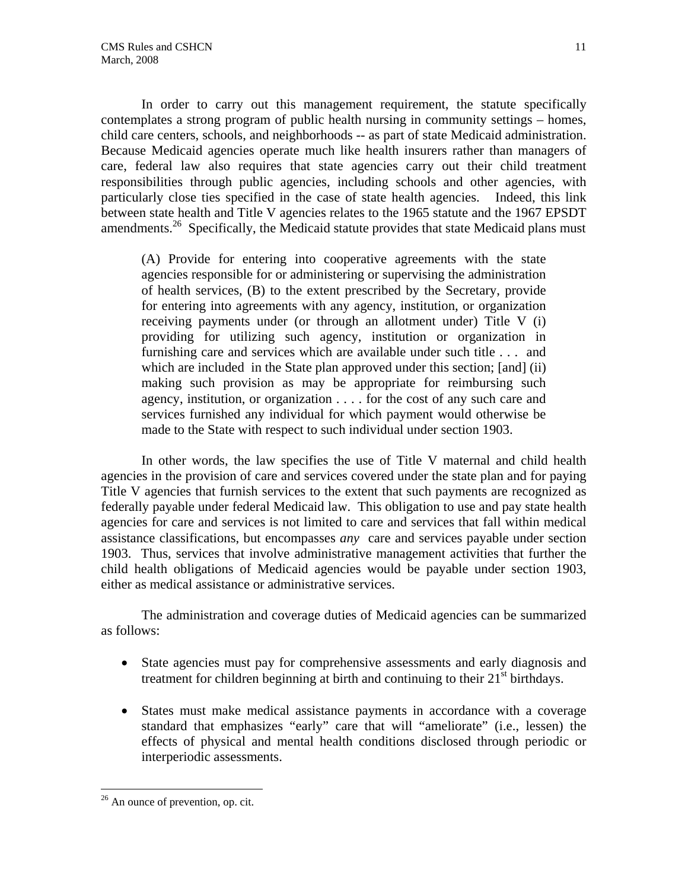In order to carry out this management requirement, the statute specifically contemplates a strong program of public health nursing in community settings – homes, child care centers, schools, and neighborhoods -- as part of state Medicaid administration. Because Medicaid agencies operate much like health insurers rather than managers of care, federal law also requires that state agencies carry out their child treatment responsibilities through public agencies, including schools and other agencies, with particularly close ties specified in the case of state health agencies. Indeed, this link between state health and Title V agencies relates to the 1965 statute and the 1967 EPSDT amendments.<sup>26</sup> Specifically, the Medicaid statute provides that state Medicaid plans must

(A) Provide for entering into cooperative agreements with the state agencies responsible for or administering or supervising the administration of health services, (B) to the extent prescribed by the Secretary, provide for entering into agreements with any agency, institution, or organization receiving payments under (or through an allotment under) Title V (i) providing for utilizing such agency, institution or organization in furnishing care and services which are available under such title . . . and which are included in the State plan approved under this section; [and] (ii) making such provision as may be appropriate for reimbursing such agency, institution, or organization . . . . for the cost of any such care and services furnished any individual for which payment would otherwise be made to the State with respect to such individual under section 1903.

In other words, the law specifies the use of Title V maternal and child health agencies in the provision of care and services covered under the state plan and for paying Title V agencies that furnish services to the extent that such payments are recognized as federally payable under federal Medicaid law. This obligation to use and pay state health agencies for care and services is not limited to care and services that fall within medical assistance classifications, but encompasses *any* care and services payable under section 1903. Thus, services that involve administrative management activities that further the child health obligations of Medicaid agencies would be payable under section 1903, either as medical assistance or administrative services.

The administration and coverage duties of Medicaid agencies can be summarized as follows:

- State agencies must pay for comprehensive assessments and early diagnosis and treatment for children beginning at birth and continuing to their  $21<sup>st</sup>$  birthdays.
- States must make medical assistance payments in accordance with a coverage standard that emphasizes "early" care that will "ameliorate" (i.e., lessen) the effects of physical and mental health conditions disclosed through periodic or interperiodic assessments.

<sup>&</sup>lt;u>.</u> <sup>26</sup> An ounce of prevention, op. cit.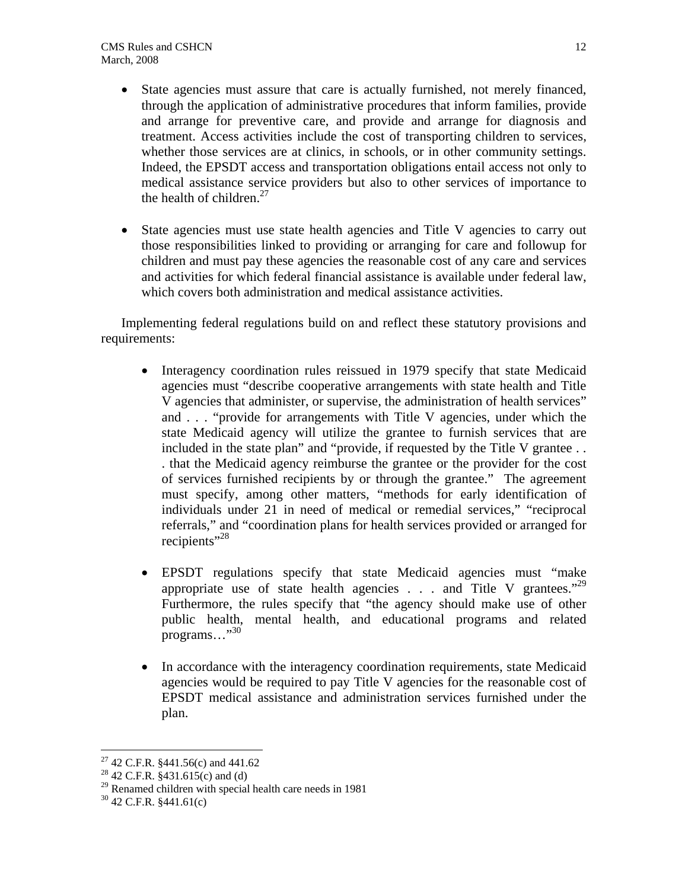- State agencies must assure that care is actually furnished, not merely financed, through the application of administrative procedures that inform families, provide and arrange for preventive care, and provide and arrange for diagnosis and treatment. Access activities include the cost of transporting children to services, whether those services are at clinics, in schools, or in other community settings. Indeed, the EPSDT access and transportation obligations entail access not only to medical assistance service providers but also to other services of importance to the health of children. $27$
- State agencies must use state health agencies and Title V agencies to carry out those responsibilities linked to providing or arranging for care and followup for children and must pay these agencies the reasonable cost of any care and services and activities for which federal financial assistance is available under federal law, which covers both administration and medical assistance activities.

Implementing federal regulations build on and reflect these statutory provisions and requirements:

- Interagency coordination rules reissued in 1979 specify that state Medicaid agencies must "describe cooperative arrangements with state health and Title V agencies that administer, or supervise, the administration of health services" and . . . "provide for arrangements with Title V agencies, under which the state Medicaid agency will utilize the grantee to furnish services that are included in the state plan" and "provide, if requested by the Title V grantee . . . that the Medicaid agency reimburse the grantee or the provider for the cost of services furnished recipients by or through the grantee." The agreement must specify, among other matters, "methods for early identification of individuals under 21 in need of medical or remedial services," "reciprocal referrals," and "coordination plans for health services provided or arranged for recipients"<sup>28</sup>
- EPSDT regulations specify that state Medicaid agencies must "make appropriate use of state health agencies  $\ldots$  and Title V grantees."<sup>29</sup> Furthermore, the rules specify that "the agency should make use of other public health, mental health, and educational programs and related programs..."<sup>30</sup>
- In accordance with the interagency coordination requirements, state Medicaid agencies would be required to pay Title V agencies for the reasonable cost of EPSDT medical assistance and administration services furnished under the plan.

<sup>27 42</sup> C.F.R. §441.56(c) and 441.62

<sup>&</sup>lt;sup>28</sup> 42 C.F.R. §431.615(c) and (d)

<sup>&</sup>lt;sup>29</sup> Renamed children with special health care needs in 1981 <sup>30</sup> 42 C.F.R. §441.61(c)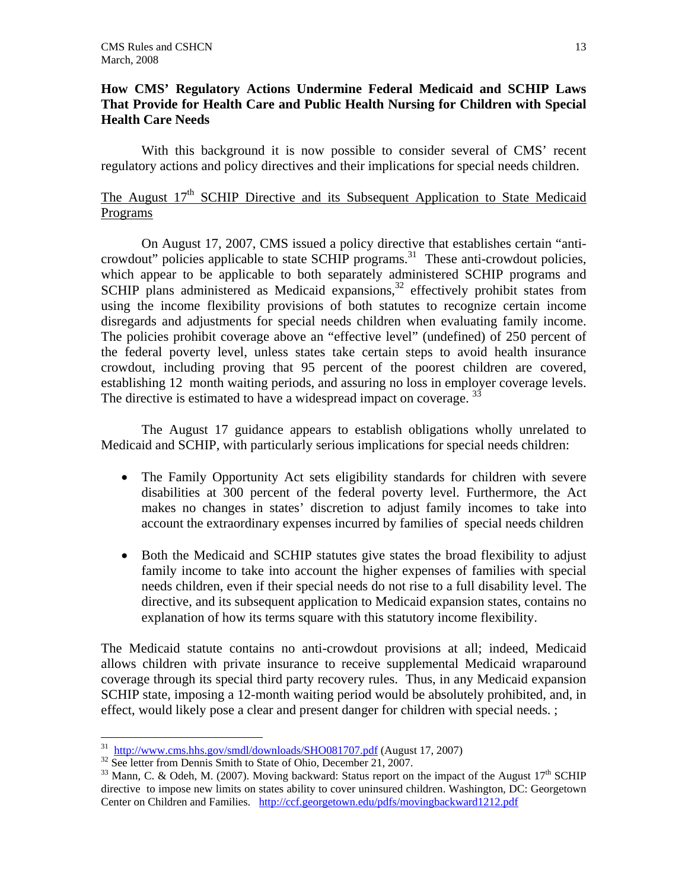## **How CMS' Regulatory Actions Undermine Federal Medicaid and SCHIP Laws That Provide for Health Care and Public Health Nursing for Children with Special Health Care Needs**

 With this background it is now possible to consider several of CMS' recent regulatory actions and policy directives and their implications for special needs children.

# The August  $17<sup>th</sup>$  SCHIP Directive and its Subsequent Application to State Medicaid Programs

 On August 17, 2007, CMS issued a policy directive that establishes certain "anticrowdout" policies applicable to state SCHIP programs.<sup>31</sup> These anti-crowdout policies, which appear to be applicable to both separately administered SCHIP programs and SCHIP plans administered as Medicaid expansions, $32$  effectively prohibit states from using the income flexibility provisions of both statutes to recognize certain income disregards and adjustments for special needs children when evaluating family income. The policies prohibit coverage above an "effective level" (undefined) of 250 percent of the federal poverty level, unless states take certain steps to avoid health insurance crowdout, including proving that 95 percent of the poorest children are covered, establishing 12 month waiting periods, and assuring no loss in employer coverage levels. The directive is estimated to have a widespread impact on coverage. <sup>33</sup>

 The August 17 guidance appears to establish obligations wholly unrelated to Medicaid and SCHIP, with particularly serious implications for special needs children:

- The Family Opportunity Act sets eligibility standards for children with severe disabilities at 300 percent of the federal poverty level. Furthermore, the Act makes no changes in states' discretion to adjust family incomes to take into account the extraordinary expenses incurred by families of special needs children
- Both the Medicaid and SCHIP statutes give states the broad flexibility to adjust family income to take into account the higher expenses of families with special needs children, even if their special needs do not rise to a full disability level. The directive, and its subsequent application to Medicaid expansion states, contains no explanation of how its terms square with this statutory income flexibility.

The Medicaid statute contains no anti-crowdout provisions at all; indeed, Medicaid allows children with private insurance to receive supplemental Medicaid wraparound coverage through its special third party recovery rules. Thus, in any Medicaid expansion SCHIP state, imposing a 12-month waiting period would be absolutely prohibited, and, in effect, would likely pose a clear and present danger for children with special needs. ;

<sup>&</sup>lt;sup>31</sup> http://www.cms.hhs.gov/smdl/downloads/SHO081707.pdf (August 17, 2007)

<sup>&</sup>lt;sup>32</sup> See letter from Dennis Smith to State of Ohio, December 21, 2007.<br><sup>33</sup> Mann, C. & Odeh, M. (2007). Moving backward: Status report on the impact of the August 17<sup>th</sup> SCHIP directive to impose new limits on states ability to cover uninsured children. Washington, DC: Georgetown Center on Children and Families. http://ccf.georgetown.edu/pdfs/movingbackward1212.pdf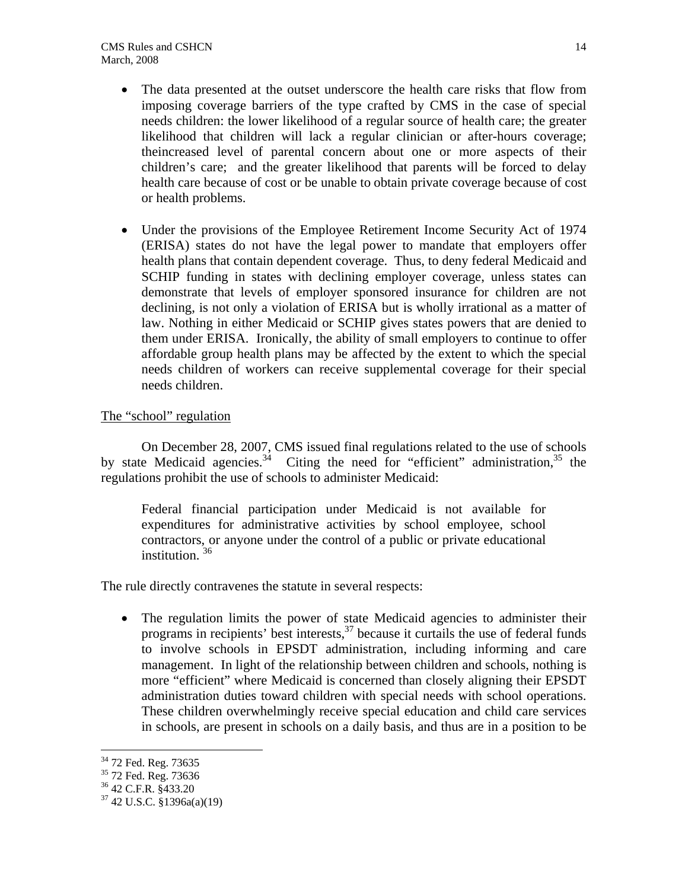- The data presented at the outset underscore the health care risks that flow from imposing coverage barriers of the type crafted by CMS in the case of special needs children: the lower likelihood of a regular source of health care; the greater likelihood that children will lack a regular clinician or after-hours coverage; theincreased level of parental concern about one or more aspects of their children's care; and the greater likelihood that parents will be forced to delay health care because of cost or be unable to obtain private coverage because of cost or health problems.
- Under the provisions of the Employee Retirement Income Security Act of 1974 (ERISA) states do not have the legal power to mandate that employers offer health plans that contain dependent coverage. Thus, to deny federal Medicaid and SCHIP funding in states with declining employer coverage, unless states can demonstrate that levels of employer sponsored insurance for children are not declining, is not only a violation of ERISA but is wholly irrational as a matter of law. Nothing in either Medicaid or SCHIP gives states powers that are denied to them under ERISA. Ironically, the ability of small employers to continue to offer affordable group health plans may be affected by the extent to which the special needs children of workers can receive supplemental coverage for their special needs children.

# The "school" regulation

 On December 28, 2007, CMS issued final regulations related to the use of schools by state Medicaid agencies.<sup>34</sup> Citing the need for "efficient" administration,<sup>35</sup> the regulations prohibit the use of schools to administer Medicaid:

Federal financial participation under Medicaid is not available for expenditures for administrative activities by school employee, school contractors, or anyone under the control of a public or private educational institution.<sup>36</sup>

The rule directly contravenes the statute in several respects:

• The regulation limits the power of state Medicaid agencies to administer their programs in recipients' best interests, $37$  because it curtails the use of federal funds to involve schools in EPSDT administration, including informing and care management. In light of the relationship between children and schools, nothing is more "efficient" where Medicaid is concerned than closely aligning their EPSDT administration duties toward children with special needs with school operations. These children overwhelmingly receive special education and child care services in schools, are present in schools on a daily basis, and thus are in a position to be

<u>.</u>

<sup>&</sup>lt;sup>34</sup> 72 Fed. Reg. 73635

 $35\frac{72 \text{ FeU}}{72 \text{ Fed}}$ . Reg. 73636

<sup>36 42</sup> C.F.R. §433.20

 $37$  42 U.S.C. §1396a(a)(19)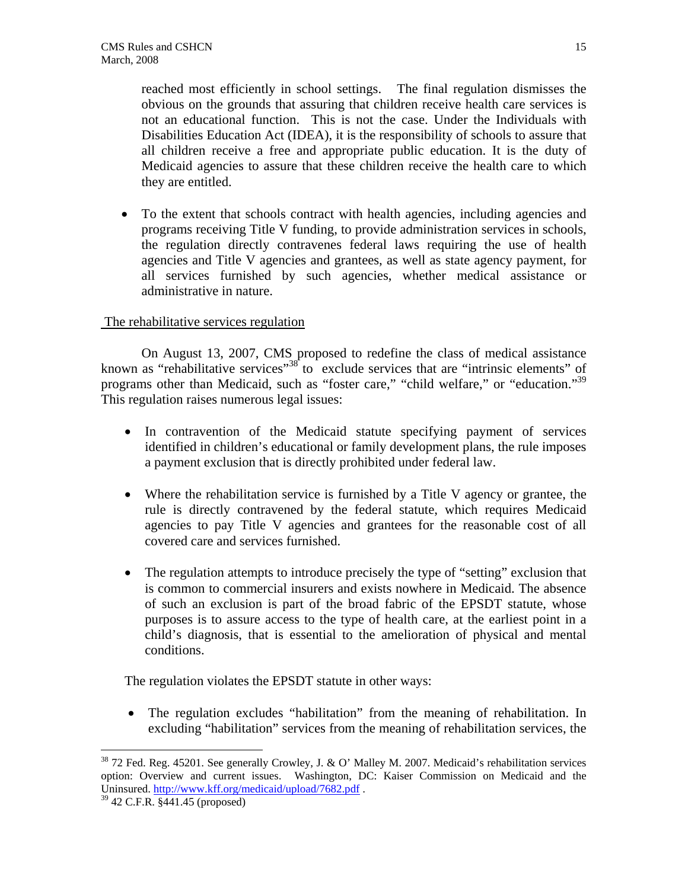reached most efficiently in school settings. The final regulation dismisses the obvious on the grounds that assuring that children receive health care services is not an educational function. This is not the case. Under the Individuals with Disabilities Education Act (IDEA), it is the responsibility of schools to assure that all children receive a free and appropriate public education. It is the duty of Medicaid agencies to assure that these children receive the health care to which they are entitled.

• To the extent that schools contract with health agencies, including agencies and programs receiving Title V funding, to provide administration services in schools, the regulation directly contravenes federal laws requiring the use of health agencies and Title V agencies and grantees, as well as state agency payment, for all services furnished by such agencies, whether medical assistance or administrative in nature.

## The rehabilitative services regulation

 On August 13, 2007, CMS proposed to redefine the class of medical assistance known as "rehabilitative services"<sup>38</sup> to exclude services that are "intrinsic elements" of programs other than Medicaid, such as "foster care," "child welfare," or "education."<sup>39</sup> This regulation raises numerous legal issues:

- In contravention of the Medicaid statute specifying payment of services identified in children's educational or family development plans, the rule imposes a payment exclusion that is directly prohibited under federal law.
- Where the rehabilitation service is furnished by a Title V agency or grantee, the rule is directly contravened by the federal statute, which requires Medicaid agencies to pay Title V agencies and grantees for the reasonable cost of all covered care and services furnished.
- The regulation attempts to introduce precisely the type of "setting" exclusion that is common to commercial insurers and exists nowhere in Medicaid. The absence of such an exclusion is part of the broad fabric of the EPSDT statute, whose purposes is to assure access to the type of health care, at the earliest point in a child's diagnosis, that is essential to the amelioration of physical and mental conditions.

The regulation violates the EPSDT statute in other ways:

• The regulation excludes "habilitation" from the meaning of rehabilitation. In excluding "habilitation" services from the meaning of rehabilitation services, the

<u>.</u>

 $38$  72 Fed. Reg. 45201. See generally Crowley, J. & O' Malley M. 2007. Medicaid's rehabilitation services option: Overview and current issues. Washington, DC: Kaiser Commission on Medicaid and the Uninsured. http://www.kff.org/medicaid/upload/7682.pdf . <sup>39</sup> 42 C.F.R. §441.45 (proposed)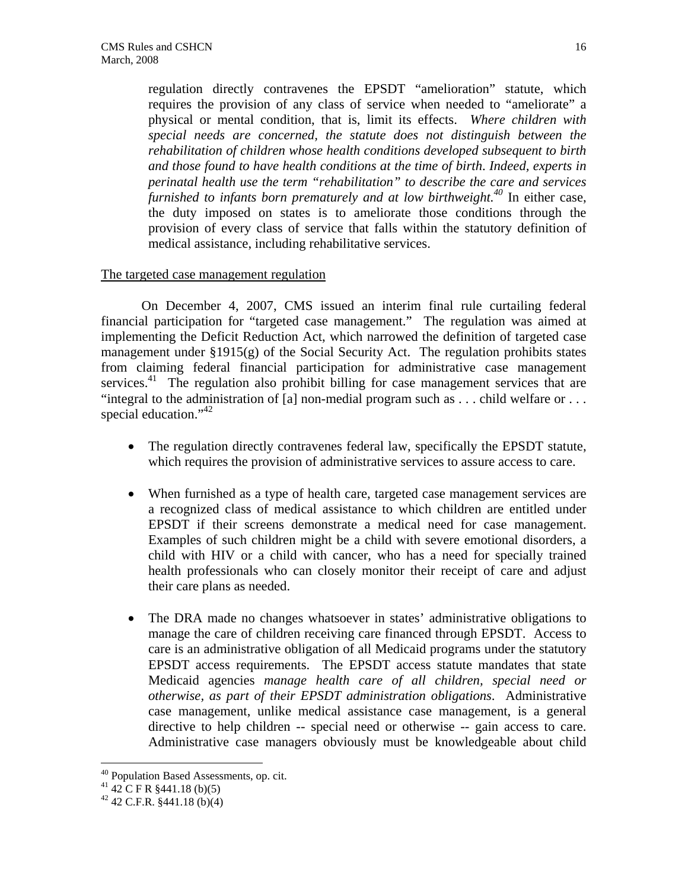regulation directly contravenes the EPSDT "amelioration" statute, which requires the provision of any class of service when needed to "ameliorate" a physical or mental condition, that is, limit its effects. *Where children with special needs are concerned, the statute does not distinguish between the rehabilitation of children whose health conditions developed subsequent to birth and those found to have health conditions at the time of birth*. *Indeed, experts in perinatal health use the term "rehabilitation" to describe the care and services furnished to infants born prematurely and at low birthweight.*<sup>40</sup> In either case, the duty imposed on states is to ameliorate those conditions through the provision of every class of service that falls within the statutory definition of medical assistance, including rehabilitative services.

### The targeted case management regulation

On December 4, 2007, CMS issued an interim final rule curtailing federal financial participation for "targeted case management." The regulation was aimed at implementing the Deficit Reduction Act, which narrowed the definition of targeted case management under §1915(g) of the Social Security Act. The regulation prohibits states from claiming federal financial participation for administrative case management services. $41$  The regulation also prohibit billing for case management services that are "integral to the administration of [a] non-medial program such as . . . child welfare or . . . special education."<sup>42</sup>

- The regulation directly contravenes federal law, specifically the EPSDT statute, which requires the provision of administrative services to assure access to care.
- When furnished as a type of health care, targeted case management services are a recognized class of medical assistance to which children are entitled under EPSDT if their screens demonstrate a medical need for case management. Examples of such children might be a child with severe emotional disorders, a child with HIV or a child with cancer, who has a need for specially trained health professionals who can closely monitor their receipt of care and adjust their care plans as needed.
- The DRA made no changes whatsoever in states' administrative obligations to manage the care of children receiving care financed through EPSDT. Access to care is an administrative obligation of all Medicaid programs under the statutory EPSDT access requirements. The EPSDT access statute mandates that state Medicaid agencies *manage health care of all children, special need or otherwise, as part of their EPSDT administration obligations*. Administrative case management, unlike medical assistance case management, is a general directive to help children -- special need or otherwise -- gain access to care. Administrative case managers obviously must be knowledgeable about child

<sup>&</sup>lt;sup>40</sup> Population Based Assessments, op. cit.

 $41\,42\,$  C F R §441.18 (b)(5)

 $42$  42 C.F.R. §441.18 (b)(4)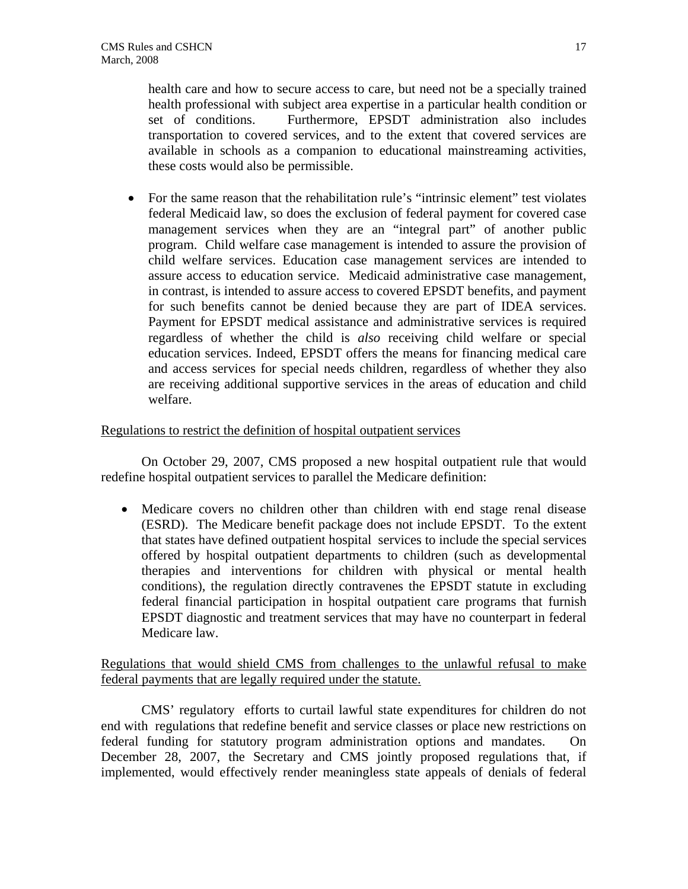health care and how to secure access to care, but need not be a specially trained health professional with subject area expertise in a particular health condition or set of conditions. Furthermore, EPSDT administration also includes transportation to covered services, and to the extent that covered services are available in schools as a companion to educational mainstreaming activities, these costs would also be permissible.

• For the same reason that the rehabilitation rule's "intrinsic element" test violates federal Medicaid law, so does the exclusion of federal payment for covered case management services when they are an "integral part" of another public program. Child welfare case management is intended to assure the provision of child welfare services. Education case management services are intended to assure access to education service. Medicaid administrative case management, in contrast, is intended to assure access to covered EPSDT benefits, and payment for such benefits cannot be denied because they are part of IDEA services. Payment for EPSDT medical assistance and administrative services is required regardless of whether the child is *also* receiving child welfare or special education services. Indeed, EPSDT offers the means for financing medical care and access services for special needs children, regardless of whether they also are receiving additional supportive services in the areas of education and child welfare.

## Regulations to restrict the definition of hospital outpatient services

 On October 29, 2007, CMS proposed a new hospital outpatient rule that would redefine hospital outpatient services to parallel the Medicare definition:

• Medicare covers no children other than children with end stage renal disease (ESRD). The Medicare benefit package does not include EPSDT. To the extent that states have defined outpatient hospital services to include the special services offered by hospital outpatient departments to children (such as developmental therapies and interventions for children with physical or mental health conditions), the regulation directly contravenes the EPSDT statute in excluding federal financial participation in hospital outpatient care programs that furnish EPSDT diagnostic and treatment services that may have no counterpart in federal Medicare law.

Regulations that would shield CMS from challenges to the unlawful refusal to make federal payments that are legally required under the statute.

CMS' regulatory efforts to curtail lawful state expenditures for children do not end with regulations that redefine benefit and service classes or place new restrictions on federal funding for statutory program administration options and mandates. On December 28, 2007, the Secretary and CMS jointly proposed regulations that, if implemented, would effectively render meaningless state appeals of denials of federal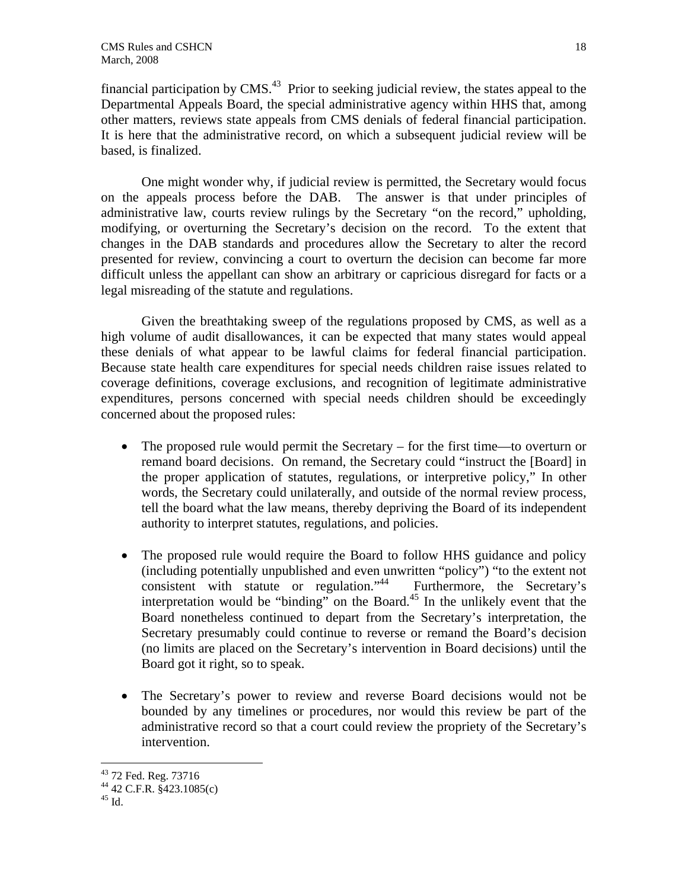financial participation by CMS.<sup>43</sup> Prior to seeking judicial review, the states appeal to the Departmental Appeals Board, the special administrative agency within HHS that, among other matters, reviews state appeals from CMS denials of federal financial participation. It is here that the administrative record, on which a subsequent judicial review will be based, is finalized.

One might wonder why, if judicial review is permitted, the Secretary would focus on the appeals process before the DAB. The answer is that under principles of administrative law, courts review rulings by the Secretary "on the record," upholding, modifying, or overturning the Secretary's decision on the record. To the extent that changes in the DAB standards and procedures allow the Secretary to alter the record presented for review, convincing a court to overturn the decision can become far more difficult unless the appellant can show an arbitrary or capricious disregard for facts or a legal misreading of the statute and regulations.

Given the breathtaking sweep of the regulations proposed by CMS, as well as a high volume of audit disallowances, it can be expected that many states would appeal these denials of what appear to be lawful claims for federal financial participation. Because state health care expenditures for special needs children raise issues related to coverage definitions, coverage exclusions, and recognition of legitimate administrative expenditures, persons concerned with special needs children should be exceedingly concerned about the proposed rules:

- The proposed rule would permit the Secretary for the first time—to overturn or remand board decisions. On remand, the Secretary could "instruct the [Board] in the proper application of statutes, regulations, or interpretive policy," In other words, the Secretary could unilaterally, and outside of the normal review process, tell the board what the law means, thereby depriving the Board of its independent authority to interpret statutes, regulations, and policies.
- The proposed rule would require the Board to follow HHS guidance and policy (including potentially unpublished and even unwritten "policy") "to the extent not consistent with statute or regulation."44 Furthermore, the Secretary's interpretation would be "binding" on the Board.<sup>45</sup> In the unlikely event that the Board nonetheless continued to depart from the Secretary's interpretation, the Secretary presumably could continue to reverse or remand the Board's decision (no limits are placed on the Secretary's intervention in Board decisions) until the Board got it right, so to speak.
- The Secretary's power to review and reverse Board decisions would not be bounded by any timelines or procedures, nor would this review be part of the administrative record so that a court could review the propriety of the Secretary's intervention.

<sup>43 72</sup> Fed. Reg. 73716

<sup>44 42</sup> C.F.R. §423.1085(c)

 $^{45}$  Id.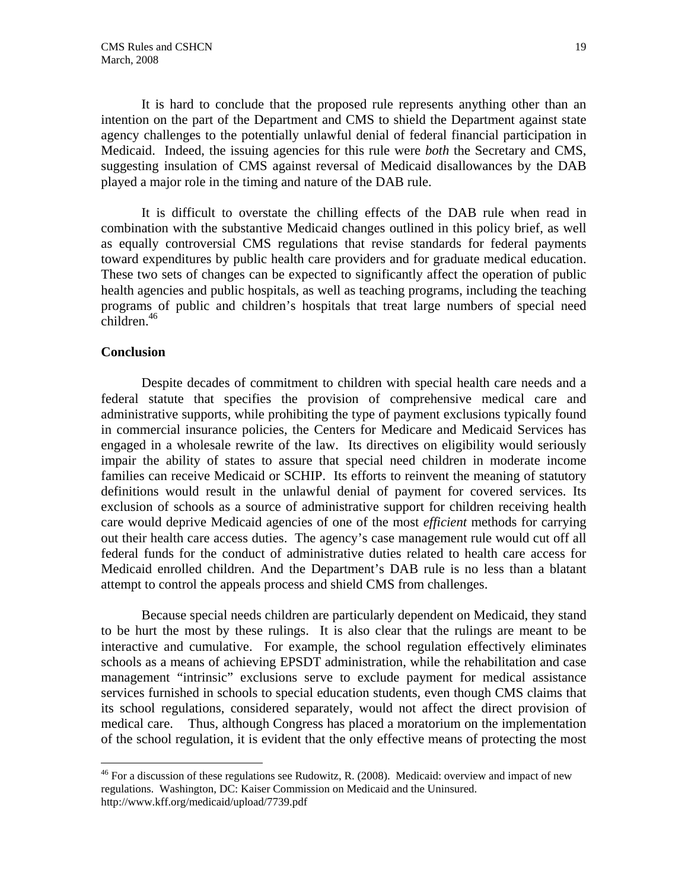It is hard to conclude that the proposed rule represents anything other than an intention on the part of the Department and CMS to shield the Department against state agency challenges to the potentially unlawful denial of federal financial participation in Medicaid. Indeed, the issuing agencies for this rule were *both* the Secretary and CMS, suggesting insulation of CMS against reversal of Medicaid disallowances by the DAB played a major role in the timing and nature of the DAB rule.

It is difficult to overstate the chilling effects of the DAB rule when read in combination with the substantive Medicaid changes outlined in this policy brief, as well as equally controversial CMS regulations that revise standards for federal payments toward expenditures by public health care providers and for graduate medical education. These two sets of changes can be expected to significantly affect the operation of public health agencies and public hospitals, as well as teaching programs, including the teaching programs of public and children's hospitals that treat large numbers of special need  $children.<sup>46</sup>$ 

#### **Conclusion**

1

 Despite decades of commitment to children with special health care needs and a federal statute that specifies the provision of comprehensive medical care and administrative supports, while prohibiting the type of payment exclusions typically found in commercial insurance policies, the Centers for Medicare and Medicaid Services has engaged in a wholesale rewrite of the law. Its directives on eligibility would seriously impair the ability of states to assure that special need children in moderate income families can receive Medicaid or SCHIP. Its efforts to reinvent the meaning of statutory definitions would result in the unlawful denial of payment for covered services. Its exclusion of schools as a source of administrative support for children receiving health care would deprive Medicaid agencies of one of the most *efficient* methods for carrying out their health care access duties. The agency's case management rule would cut off all federal funds for the conduct of administrative duties related to health care access for Medicaid enrolled children. And the Department's DAB rule is no less than a blatant attempt to control the appeals process and shield CMS from challenges.

Because special needs children are particularly dependent on Medicaid, they stand to be hurt the most by these rulings. It is also clear that the rulings are meant to be interactive and cumulative. For example, the school regulation effectively eliminates schools as a means of achieving EPSDT administration, while the rehabilitation and case management "intrinsic" exclusions serve to exclude payment for medical assistance services furnished in schools to special education students, even though CMS claims that its school regulations, considered separately, would not affect the direct provision of medical care. Thus, although Congress has placed a moratorium on the implementation of the school regulation, it is evident that the only effective means of protecting the most

 $46$  For a discussion of these regulations see Rudowitz, R. (2008). Medicaid: overview and impact of new regulations. Washington, DC: Kaiser Commission on Medicaid and the Uninsured. http://www.kff.org/medicaid/upload/7739.pdf